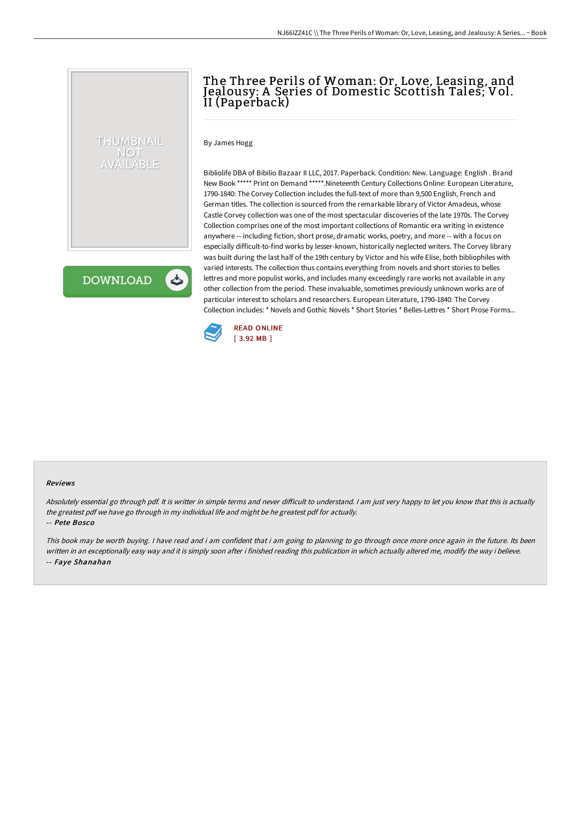# The Three Perils of Woman: Or, Love, Leasing, and Jealousy: A Series of Domestic Scottish Tales; Vol. II (Paperback)

By James Hogg

THUMBNAIL NOT AVAILABLE

**DOWNLOAD** 

ٹ

Bibliolife DBA of Bibilio Bazaar II LLC, 2017. Paperback. Condition: New. Language: English . Brand New Book \*\*\*\*\* Print on Demand \*\*\*\*\*.Nineteenth Century Collections Online: European Literature, 1790-1840: The Corvey Collection includes the full-text of more than 9,500 English, French and German titles. The collection is sourced from the remarkable library of Victor Amadeus, whose Castle Corvey collection was one of the most spectacular discoveries of the late 1970s. The Corvey Collection comprises one of the most important collections of Romantic era writing in existence anywhere -- including fiction, short prose, dramatic works, poetry, and more -- with a focus on especially difficult-to-find works by lesser-known, historically neglected writers. The Corvey library was built during the last half of the 19th century by Victor and his wife Elise, both bibliophiles with varied interests. The collection thus contains everything from novels and short stories to belles lettres and more populist works, and includes many exceedingly rare works not available in any other collection from the period. These invaluable, sometimes previously unknown works are of particular interest to scholars and researchers. European Literature, 1790-1840: The Corvey Collection includes: \* Novels and Gothic Novels \* Short Stories \* Belles-Lettres \* Short Prose Forms...



#### Reviews

Absolutely essential go through pdf. It is writter in simple terms and never difficult to understand. I am just very happy to let you know that this is actually the greatest pdf we have go through in my individual life and might be he greatest pdf for actually. -- Pete Bosco

This book may be worth buying. I have read and i am confident that i am going to planning to go through once more once again in the future. Its been written in an exceptionally easy way and it is simply soon after i finished reading this publication in which actually altered me, modify the way i believe. -- Faye Shanahan